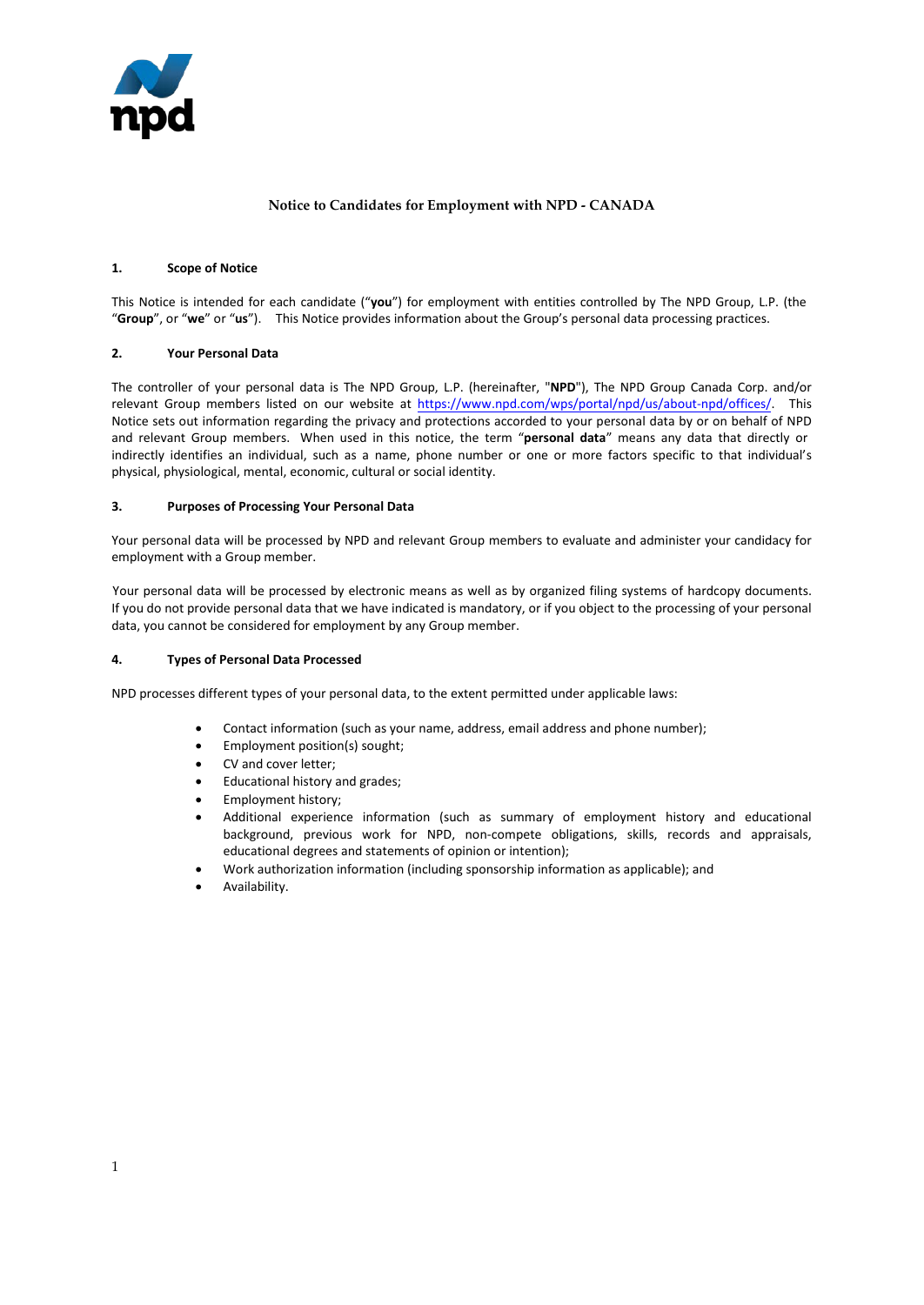

# **Notice to Candidates for Employment with NPD - CANADA**

### **1. Scope of Notice**

This Notice is intended for each candidate ("**you**") for employment with entities controlled by The NPD Group, L.P. (the "**Group**", or "**we**" or "**us**"). This Notice provides information about the Group's personal data processing practices.

### **2. Your Personal Data**

The controller of your personal data is The NPD Group, L.P. (hereinafter, "**NPD**"), The NPD Group Canada Corp. and/or relevant Group members listed on our website a[t https://www.npd.com/wps/portal/npd/us/about-npd/offices/.](https://www.npd.com/wps/portal/npd/us/about-npd/offices/) This Notice sets out information regarding the privacy and protections accorded to your personal data by or on behalf of NPD and relevant Group members. When used in this notice, the term "**personal data**" means any data that directly or indirectly identifies an individual, such as a name, phone number or one or more factors specific to that individual's physical, physiological, mental, economic, cultural or social identity.

### **3. Purposes of Processing Your Personal Data**

Your personal data will be processed by NPD and relevant Group members to evaluate and administer your candidacy for employment with a Group member.

Your personal data will be processed by electronic means as well as by organized filing systems of hardcopy documents. If you do not provide personal data that we have indicated is mandatory, or if you object to the processing of your personal data, you cannot be considered for employment by any Group member.

#### **4. Types of Personal Data Processed**

NPD processes different types of your personal data, to the extent permitted under applicable laws:

- Contact information (such as your name, address, email address and phone number);
- Employment position(s) sought;
- CV and cover letter;
- Educational history and grades;
- Employment history;
- Additional experience information (such as summary of employment history and educational background, previous work for NPD, non-compete obligations, skills, records and appraisals, educational degrees and statements of opinion or intention);
- Work authorization information (including sponsorship information as applicable); and
- Availability.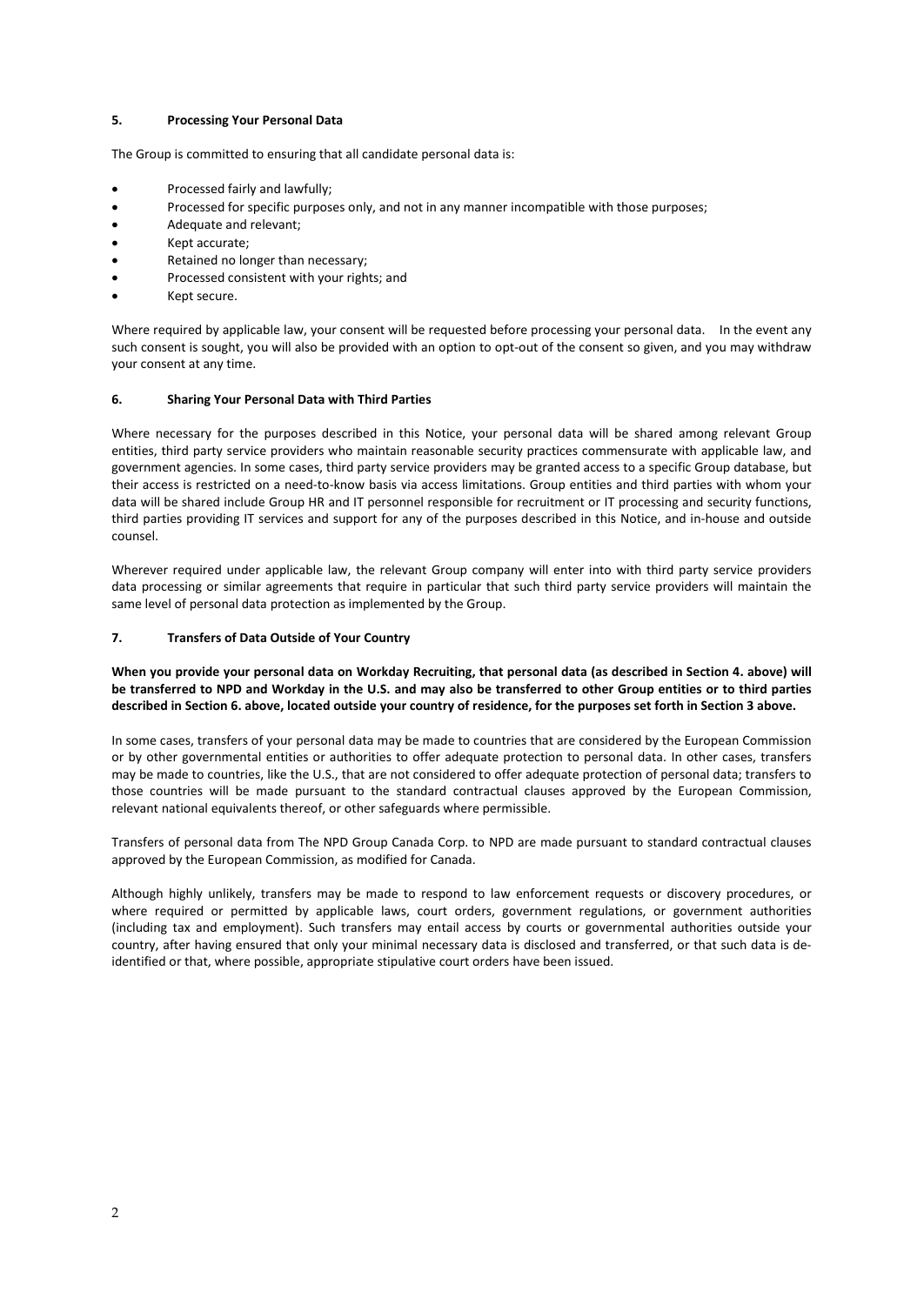# **5. Processing Your Personal Data**

The Group is committed to ensuring that all candidate personal data is:

- Processed fairly and lawfully;
- Processed for specific purposes only, and not in any manner incompatible with those purposes;
- Adequate and relevant;
- Kept accurate;
- Retained no longer than necessary;
- Processed consistent with your rights; and
- Kept secure.

Where required by applicable law, your consent will be requested before processing your personal data. In the event any such consent is sought, you will also be provided with an option to opt-out of the consent so given, and you may withdraw your consent at any time.

# **6. Sharing Your Personal Data with Third Parties**

Where necessary for the purposes described in this Notice, your personal data will be shared among relevant Group entities, third party service providers who maintain reasonable security practices commensurate with applicable law, and government agencies. In some cases, third party service providers may be granted access to a specific Group database, but their access is restricted on a need-to-know basis via access limitations. Group entities and third parties with whom your data will be shared include Group HR and IT personnel responsible for recruitment or IT processing and security functions, third parties providing IT services and support for any of the purposes described in this Notice, and in-house and outside counsel.

Wherever required under applicable law, the relevant Group company will enter into with third party service providers data processing or similar agreements that require in particular that such third party service providers will maintain the same level of personal data protection as implemented by the Group.

# **7. Transfers of Data Outside of Your Country**

**When you provide your personal data on Workday Recruiting, that personal data (as described in Section 4. above) will be transferred to NPD and Workday in the U.S. and may also be transferred to other Group entities or to third parties described in Section 6. above, located outside your country of residence, for the purposes set forth in Section 3 above.**

In some cases, transfers of your personal data may be made to countries that are considered by the European Commission or by other governmental entities or authorities to offer adequate protection to personal data. In other cases, transfers may be made to countries, like the U.S., that are not considered to offer adequate protection of personal data; transfers to those countries will be made pursuant to the standard contractual clauses approved by the European Commission, relevant national equivalents thereof, or other safeguards where permissible.

Transfers of personal data from The NPD Group Canada Corp. to NPD are made pursuant to standard contractual clauses approved by the European Commission, as modified for Canada.

Although highly unlikely, transfers may be made to respond to law enforcement requests or discovery procedures, or where required or permitted by applicable laws, court orders, government regulations, or government authorities (including tax and employment). Such transfers may entail access by courts or governmental authorities outside your country, after having ensured that only your minimal necessary data is disclosed and transferred, or that such data is deidentified or that, where possible, appropriate stipulative court orders have been issued.